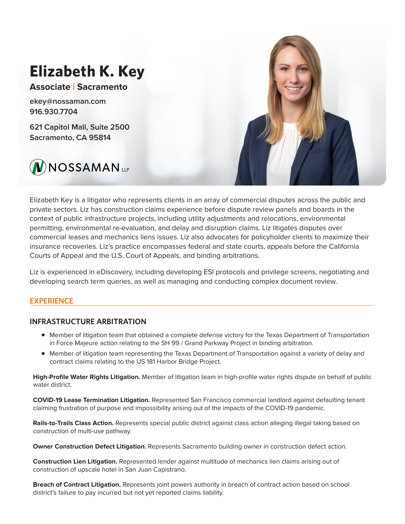# **Elizabeth K. Key Associate | Sacramento** ekey@nossaman.com 916.930.7704 621 Capitol Mall, Suite 2500 Sacramento, CA 95814  $\bigcirc$ NOSSAMAN

Elizabeth Key is a litigator who represents clients in an array of commercial disputes across the public and private sectors. Liz has construction claims experience before dispute review panels and boards in the context of public infrastructure projects, including utility adjustments and relocations, environmental permitting, environmental re-evaluation, and delay and disruption claims. Liz litigates disputes over commercial leases and mechanics liens issues. Liz also advocates for policyholder clients to maximize their insurance recoveries. Liz's practice encompasses federal and state courts, appeals before the California Courts of Appeal and the U.S. Court of Appeals, and binding arbitrations.

Liz is experienced in eDiscovery, including developing ESI protocols and privilege screens, negotiating and developing search term queries, as well as managing and conducting complex document review.

## **EXPERIENCE**

## **INFRASTRUCTURE ARBITRATION**

- Member of litigation team that obtained a complete defense victory for the Texas Department of Transportation in Force Majeure action relating to the SH 99 / Grand Parkway Project in binding arbitration.
- Member of litigation team representing the Texas Department of Transportation against a variety of delay and contract claims relating to the US 181 Harbor Bridge Project.

**High-Profile Water Rights Litigation.** Member of litigation team in high-profile water rights dispute on behalf of public water district.

**COVID-19 Lease Termination Litigation.** Represented San Francisco commercial landlord against defaulting tenant claiming frustration of purpose and impossibility arising out of the impacts of the COVID-19 pandemic.

**Rails-to-Trails Class Action.** Represents special public district against class action alleging illegal taking based on construction of multi-use pathway.

**Owner Construction Defect Litigation.** Represents Sacramento building owner in construction defect action.

**Construction Lien Litigation.** Represented lender against multitude of mechanics lien claims arising out of construction of upscale hotel in San Juan Capistrano.

**Breach of Contract Litigation.** Represents joint powers authority in breach of contract action based on school district's failure to pay incurred but not yet reported claims liability.